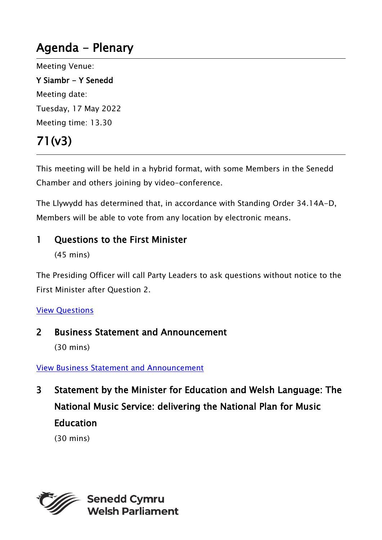## Agenda - Plenary

Meeting Venue: Y Siambr - Y Senedd Meeting date: Tuesday, 17 May 2022

Meeting time: 13.30

# 71(v3)

This meeting will be held in a hybrid format, with some Members in the Senedd Chamber and others joining by video-conference.

The Llywydd has determined that, in accordance with Standing Order 34.14A-D, Members will be able to vote from any location by electronic means.

### 1 Ouestions to the First Minister

(45 mins)

The Presiding Officer will call Party Leaders to ask questions without notice to the First Minister after Question 2.

#### [View Questions](https://record.assembly.wales/OrderPaper/OralQuestions/17-05-2022/)

#### 2 Business Statement and Announcement

(30 mins)

#### [View Business Statement and Announcement](https://senedd.wales/archive/business-statements/business-statement-and-announcement-17-05-2022/)

3 Statement by the Minister for Education and Welsh Language: The National Music Service: delivering the National Plan for Music Education

(30 mins)